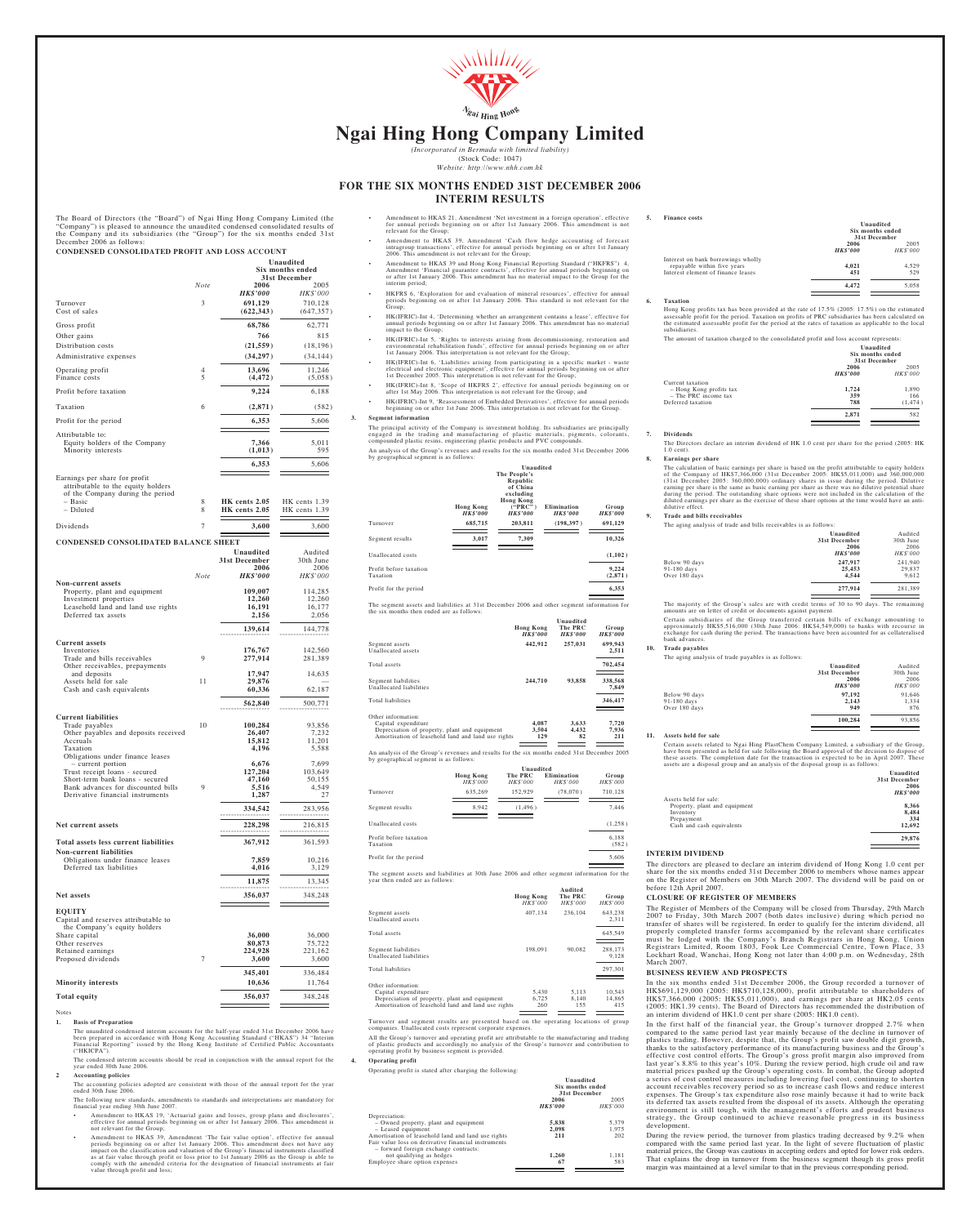

## **Ngai Hing Hong Company Limited**

*(Incorporated in Bermuda with limited liability)* (Stock Code: 1047) *Website: http://www.nhh.com.hk*

### **FOR THE SIX MONTHS ENDED 31ST DECEMBER 2006 INTERIM RESULTS**

The Board of Directors (the "Board") of Ngai Hing Hong Company Limited (the "Company") is pleased to announce the unaudited condensed consolidated results of the Company and its subsidiaries (the "Group") for the six month **CONDENSED CONSOLIDATED PROFIT AND LOSS ACCOUNT**

|                                                                                                         |                |                                | Unaudited<br>Six months ended  |
|---------------------------------------------------------------------------------------------------------|----------------|--------------------------------|--------------------------------|
|                                                                                                         | Note           | 2006                           | 31st December<br>2005          |
|                                                                                                         |                | <b>HK\$'000</b>                | HK\$'000                       |
| Turnover<br>Cost of sales                                                                               | 3              | 691,129<br>(622, 343)          | 710,128<br>(647, 357)          |
| Gross profit                                                                                            |                | 68,786                         | 62,771                         |
| Other gains                                                                                             |                | 766                            | 815                            |
| Distribution costs<br>Administrative expenses                                                           |                | (21, 559)<br>(34, 297)         | (18, 196)<br>(34, 144)         |
| Operating profit                                                                                        | 4              | 13,696                         | 11,246                         |
| Finance costs                                                                                           | 5              | (4, 472)                       | (5,058)                        |
| Profit before taxation                                                                                  |                | 9,224                          | 6,188                          |
| Taxation                                                                                                | 6              | (2, 871)                       | (582)                          |
| Profit for the period                                                                                   |                | 6,353                          | 5,606                          |
| Attributable to:<br>Equity holders of the Company                                                       |                | 7,366                          | 5,011                          |
| Minority interests                                                                                      |                | (1, 013)                       | 595                            |
|                                                                                                         |                | 6,353                          | 5,606                          |
| Earnings per share for profit<br>attributable to the equity holders<br>of the Company during the period |                |                                |                                |
| – Basic<br>- Diluted                                                                                    | 8<br>8         | HK cents 2.05<br>HK cents 2.05 | HK cents 1.39<br>HK cents 1.39 |
| Dividends                                                                                               | 7              | 3,600                          | 3,600                          |
|                                                                                                         |                |                                |                                |
| <b>CONDENSED CONSOLIDATED BALANCE SHEET</b>                                                             |                | Unaudited                      | Audited                        |
|                                                                                                         |                | 31st December<br>2006          | 30th June<br>2006              |
|                                                                                                         | Note           | <b>HK\$'000</b>                | HK\$'000                       |
| Non-current assets<br>Property, plant and equipment                                                     |                | 109,007                        | 114,285                        |
| Investment properties<br>Leasehold land and land use rights                                             |                | 12,260<br>16,191               | 12,260<br>16,177               |
| Deferred tax assets                                                                                     |                | 2,156                          | 2,056                          |
|                                                                                                         |                | 139,614                        | 144,778                        |
| <b>Current assets</b><br>Inventories                                                                    |                | 176,767                        | 142,560                        |
| Trade and bills receivables<br>Other receivables, prepayments                                           | 9              | 277,914                        | 281,389                        |
| and deposits                                                                                            | 11             | 17,947<br>29,876               | 14,635                         |
| Assets held for sale<br>Cash and cash equivalents                                                       |                | 60,336                         | 62,187                         |
|                                                                                                         |                | 562,840                        | 500,771                        |
| <b>Current liabilities</b>                                                                              |                |                                |                                |
| Trade payables<br>Other payables and deposits received                                                  | 10             | 100,284<br>26,407              | 93,856<br>7,232                |
| Accruals<br>Taxation                                                                                    |                | 15,812<br>4,196                | 11,201<br>5,588                |
| Obligations under finance leases<br>- current portion                                                   |                | 6,676                          | 7,699                          |
| Trust receipt loans - secured<br>Short-term bank loans - secured                                        |                | 127,204<br>47,160              | 103,649<br>50,155              |
| Bank advances for discounted bills<br>Derivative financial instruments                                  | 9              | 5,516<br>1,287                 | 4,549<br>27                    |
|                                                                                                         |                | 334,542                        | 283,956                        |
|                                                                                                         |                |                                |                                |
| Net current assets                                                                                      |                | 228,298                        | 216,815                        |
| Total assets less current liabilities<br>Non-current liabilities                                        |                | 367,912                        | 361,593                        |
| Obligations under finance leases<br>Deferred tax liabilities                                            |                | 7,859<br>4,016                 | 10,216<br>3,129                |
|                                                                                                         |                | 11,875                         | 13,345                         |
| Net assets                                                                                              |                | 356,037                        | 348,248                        |
|                                                                                                         |                |                                |                                |
| <b>EQUITY</b><br>Capital and reserves attributable to                                                   |                |                                |                                |
| the Company's equity holders<br>Share capital                                                           |                | 36,000                         | 36,000                         |
| Other reserves<br>Retained earnings                                                                     |                | 80,873<br>224,928              | 75,722<br>221,162              |
| Proposed dividends                                                                                      | $\overline{7}$ | 3,600                          | 3,600                          |
|                                                                                                         |                | 345,401                        | 336,484                        |
| <b>Minority interests</b>                                                                               |                | 10,636                         | 11,764                         |

- Amendment to HKAS 21, Amendment 'Net investment in a foreign operation', effective for annual periods beginning on or after 1st January 2006. This amendment is not for annual periods beg<br>relevant for the Group;
- Amendment to HKAS 39, Amendment 'Cash flow hedge accounting of forecast intragroup transactions', effective for annual periods beginning on or after 1st January 2006. This amendment is not relevant for the Group;
- Amendment to HKAS 39 and Hong Kong Financial Reporting Standard ("HKFRS") 4<br>Amendment 'Financial guarantee contracts', effective for annual periods beginning on<br>or after 1st January 2006. This amendment has no material imp
- HKFRS 6, 'Exploration for and evaluation of mineral resources', effective for annual periods beginning on or after 1st January 2006. This standard is not relevant for the
- Group; HK(IFRIC)-Int 4, 'Determining whether an arrangement contains a lease', effective for annual periods beginning on or after 1st January 2006. This amendment has no material impact to the Group;
- . HK (IFRIC)-Int 5, 'Rights to interests arising from decommissioning, restoration and<br>environmental rehabilitation funds', effective for annual periods beginning on or after<br>Ist January 2006. This interpretation is not re
- HK(IFRIC)-Int 6, 'Liabilities arising from participating in a specific market waste<br>electrical and electronic equipment', effective for annual periods beginning on or after<br>Ist December 2005. This interpretation is not
- HK(IFRIC)-Int 8, 'Scope of HKFRS 2', effective for annual periods beginning on or<br>after 1st May 2006. This interpretation is not relevant for the Group; and<br>HK(IFRIC)-Int 9, 'Reassessment of Embedded Derivatives', effectiv
- **3. Segment information**

The principal activity of the Company is investment holding. Its subsidiaries are principally<br>engaged in the trading and manufacturing of plastic materials, pigments, colorants,<br>compounded plastic resins, engineering plast An analysis of the Group's revenues and results for the six months ended 31st December 2006

| by geographical segment is as follows:                                                                                                  |                                            |                                                                                                                  |                                |                                 |
|-----------------------------------------------------------------------------------------------------------------------------------------|--------------------------------------------|------------------------------------------------------------------------------------------------------------------|--------------------------------|---------------------------------|
|                                                                                                                                         | <b>Hong Kong</b><br><i><b>HK\$'000</b></i> | Unaudited<br>The People's<br>Republic<br>of China<br>excluding<br><b>Hong Kong</b><br>("PRC")<br><b>HK\$'000</b> | Elimination<br><b>HK\$'000</b> | Group<br><i><b>HK\$'000</b></i> |
| Turnover                                                                                                                                | 685,715                                    | 203,811                                                                                                          | (198, 397)                     | 691,129                         |
| Segment results                                                                                                                         | 3,017                                      | 7,309                                                                                                            |                                | 10,326                          |
| Unallocated costs                                                                                                                       |                                            |                                                                                                                  |                                | (1, 102)                        |
| Profit before taxation<br>Taxation                                                                                                      |                                            |                                                                                                                  |                                | 9,224<br>(2,871)                |
| Profit for the period                                                                                                                   |                                            |                                                                                                                  |                                | 6,353                           |
| The segment assets and liabilities at 31st December 2006 and other segment information for<br>the six months then ended are as follows: |                                            |                                                                                                                  |                                |                                 |

**Unaudited Hong Kong** The PRC Group<br> $HK$'000$   $HK$'000$   $HK$'000$ *HK\$'000 HK\$'000 HK\$'000* Segment assets **442,912 257,031 699,943** Unallocated assets **2,511** Total assets **702,454** Segment liabilities **244,710 93,858 338,568** Unallocated liabilities **7,849** Total liabilities **346,417** Other information: Capital expenditure **4,087 3,633 7,720** Depreciation of property, plant and equipment **3,504 4,432 7,936** Amortisation of leasehold land and land use rights **129 82 211**

An analysis of the Group's revenues and results for the six months ended 31st December 2005 by geographical segment is as follows:

| Unaudited                    |                     |                               |                   |
|------------------------------|---------------------|-------------------------------|-------------------|
| <b>Hong Kong</b><br>HK\$'000 | The PRC<br>HK\$'000 | Elimination<br><b>HKS'000</b> | Group<br>HK\$'000 |
| 635.269                      | 152.929             | (78,070)                      | 710.128           |
| 8.942                        | (1.496)             |                               | 7.446             |
|                              |                     |                               | (1,258)           |
|                              |                     |                               | 6.188<br>(582)    |
|                              |                     |                               | 5.606             |
|                              |                     |                               |                   |

The segment assets and liabilities at 30th June 2006 and other segment information for the year then ended are as follows:

|                                                                                                                                                  | <b>Hong Kong</b><br>HK\$'000 | Audited<br>The PRC<br><b>HKS'000</b> | Group<br><b>HKS'000</b> |
|--------------------------------------------------------------------------------------------------------------------------------------------------|------------------------------|--------------------------------------|-------------------------|
| Segment assets<br>Unallocated assets                                                                                                             | 407.134                      | 236,104                              | 643.238<br>2.311        |
| Total assets                                                                                                                                     |                              |                                      | 645.549                 |
| Segment liabilities<br>Unallocated liabilities                                                                                                   | 198,091                      | 90.082                               | 288,173<br>9.128        |
| <b>Total liabilities</b>                                                                                                                         |                              |                                      | 297.301                 |
| Other information:<br>Capital expenditure<br>Depreciation of property, plant and equipment<br>Amortisation of leasehold land and land use rights | 5.430<br>6.725<br>260        | 5.113<br>8.140<br>155                | 10.543<br>14.865<br>415 |

Turnover and segment results are presented based on the operating locations of group companies. Unallocated costs represent corporate expenses.

All the Group's turnover and operating profit are attributable to the manufacturing and trading<br>of plastic products and accordingly no analysis of the Group's turnover and contribution to<br>operating profit by business segme

**4. Operating profit**

## Operating profit is stated after charging the following:

|                                                                                                                                                            | Unaudited<br>Six months ended<br>31st December |                        |
|------------------------------------------------------------------------------------------------------------------------------------------------------------|------------------------------------------------|------------------------|
|                                                                                                                                                            | 2006<br><b>HK\$'000</b>                        | 2005<br><b>HKS'000</b> |
| Depreciation:<br>- Owned property, plant and equipment<br>$-$ Leased equipment<br>Amortisation of leasehold land and land use rights                       | 5,838<br>2.098<br>211                          | 5.379<br>1.975<br>202  |
| Fair value loss on derivative financial instruments<br>- forward foreign exchange contracts:<br>not qualifying as hedges<br>Employee share option expenses | 1.260<br>67                                    | 1.181<br>583           |

**5. Finance costs**

|                                                                                                         | Unaudited<br>Six months ended<br>31st December |                         |
|---------------------------------------------------------------------------------------------------------|------------------------------------------------|-------------------------|
|                                                                                                         | 2006<br><b>HK\$'000</b>                        | 2005<br><b>HK\$'000</b> |
| Interest on bank borrowings wholly<br>repayable within five years<br>Interest element of finance leases | 4.021<br>451                                   | 4.529<br>529            |
|                                                                                                         | 4.472                                          | 5.058                   |
|                                                                                                         |                                                |                         |

### **6. Taxation**

Hong Kong profits tax has been provided at the rate of 17.5% (2005: 17.5%) on the estimated on<br>assessable profit for the period. Taxation on profits of PRC subsidiaries has been calculated on<br>the estimated assessable profi



**7. Dividends**

The Directors declare an interim dividend of HK 1.0 cent per share for the period (2005: HK 1.0 cent).

**8. Earnings per share** The calculation of basic earnings per share is based on the profit attributable to equity holders of the Company of HK\$7,366,000 (31st December 2005: HK\$5,011,000) and 360,000,000 (31st December

### **9. Trade and bills receivables** nd bills receivables is a<br>.

| The aging analysis of trade and bills receivables is as follows: |                 |                 |
|------------------------------------------------------------------|-----------------|-----------------|
|                                                                  | Unaudited       | Audited         |
|                                                                  | 31st December   | 30th June       |
|                                                                  | 2006            | 2006            |
|                                                                  | <b>HK\$'000</b> | <b>HK\$'000</b> |
| Below 90 days                                                    | 247,917         | 241,940         |
| 91-180 days                                                      | 25,453          | 29.837          |
| Over 180 days                                                    | 4.544           | 9.612           |
|                                                                  | 277,914         | 281.389         |
|                                                                  |                 |                 |

The majority of the Group's sales are with credit terms of 30 to 90 days. The remaining amounts are on letter of credit or documents against payment.

Certain subsidiaries of the Group transferred certain bills of exchange amounting to<br>approximately HK\$5,516,000 (30th June 2006: HK\$4,549,000) to banks with recourse in<br>exchange for cash during the period. The transactions

**10. Trade payables**

| Unaudited       | Audited         |
|-----------------|-----------------|
| 31st December   | 30th June       |
| 2006            | 2006            |
| <b>HK\$'000</b> | <b>HK\$'000</b> |
| 97.192          | 91.646          |
| 2.143           | 1.334           |
| 949             | 876             |
| 100.284         | 93,856          |
|                 |                 |

### **11. Assets held for sale**

Certain assets related to Ngai Hing PlastChem Company Limited, a subsidiary of the Group,<br>thave been presented as held for sale following the Board approval of the decision to dispose of<br>these assets. The completion date f

|                               | Unaudited<br>31st December |
|-------------------------------|----------------------------|
|                               | 2006                       |
|                               | <b>HK\$'000</b>            |
| Assets held for sale:         |                            |
| Property, plant and equipment | 8.366                      |
| Inventory                     | 8.484                      |
| Prepayment                    | 334                        |
| Cash and cash equivalents     | 12.692                     |
|                               | 29,876                     |

### **INTERIM DIVIDEND**

The directors are pleased to declare an interim dividend of Hong Kong 1.0 cent per share for the six months ended 31st December 2006 to members whose names appear share for the six months ended 31st December 2006 to members whose names appear on the Register of Members on 30th March 2007. The dividend will be paid on or before 12th April 2007.

### **CLOSURE OF REGISTER OF MEMBERS**

The Register of Members of the Company will be closed from Thursday, 29th March<br>2007 to Friday, 30th March 2007 (both dates inclusive) during which period no<br>transfer of shares will be registered. In order to qualify for t

### **BUSINESS REVIEW AND PROSPECTS**

In the six months ended 31st December 2006, the Group recorded a turnover of<br>HK\$691,129,000 (2005: HK\$710,128,000), profit attributable to shareholders of<br>HK\$7,366,000 (2005: HK\$5,011,000), and earnings per share at HK2.05 (2005: HK1.39 cents). The Board of Directors has recommended the distribution of an interim dividend of HK1.0 cent per share (2005: HK1.0 cent). an interim dividend of HK1.0 cent per share (2005: HK1.0 cent).

In the first half of the financial year, the Group's turnover dropped 2.7% when<br>compared to the same period last year mainly because of the decline in turnover of<br>plastics trading. However, despite that, the Group's profit

During the review period, the turnover from plastics trading decreased by 9.2% when<br>compared with the same period last year. In the light of severe fluctuation of plastic<br>material prices, the Group was cautious in acceptin

# Total equity 356,037 348,248

The unaudited condensed interim accounts for the half-year ended 31st December 2006 have<br>been prepared in accordance with Hong Kong Accounting Standard ("HKAS") 34 "Interim<br>Financial Reporting" issued by the Hong Kong Inst The condensed interim accounts should be read in conjunction with the annual report for the year ended 30th June 2006.

**2 Accounting policies**

**1. Basis of Preparation**

Notes

The accounting policies adopted are consistent with those of the annual report for the year ended 30th June 2006.

The following new standards, amendments to standards and interpretations are mandatory for financial year ending 30th June 2007.

• Amendment to HKAS 19, 'Actuarial gains and losses, group plans and disclosures', effective for annual periods beginning on or after 1st January 2006. This amendment is not relevant for the Group;

• Amendment to HKAS 39, Amendment "The fair value option", effective for annual impact on the classification and valuation of the Group's financial inspact as at fair value through profit or loss pince as at fair value thr